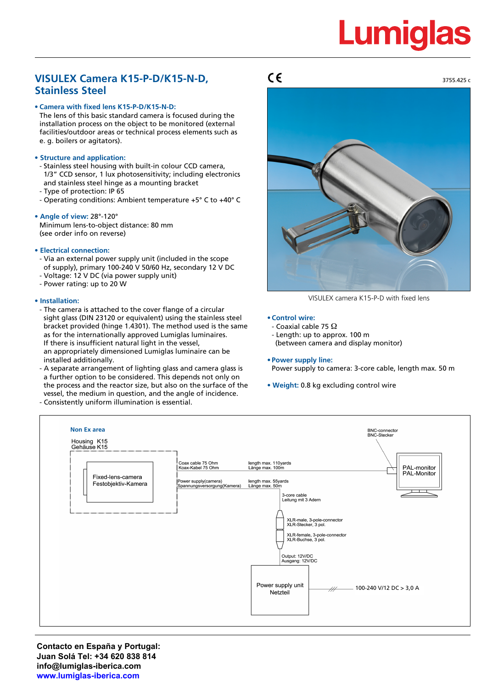# **Lumiglas**

# **VISULEX Camera K15-P-D/K15-N-D, Stainless Steel**

# **• Camera with fixed lens K15-P-D/K15-N-D:**

The lens of this basic standard camera is focused during the installation process on the object to be monitored (external facilities/outdoor areas or technical process elements such as e. g. boilers or agitators).

# **• Structure and application:**

- Stainless steel housing with built-in colour CCD camera, 1/3" CCD sensor, 1 lux photosensitivity; including electronics and stainless steel hinge as a mounting bracket
- Type of protection: IP 65
- Operating conditions: Ambient temperature +5° C to +40° C

# **• Angle of view:** 28°-120°

Minimum lens-to-object distance: 80 mm (see order info on reverse)

# **• Electrical connection:**

- Via an external power supply unit (included in the scope of supply), primary 100-240 V 50/60 Hz, secondary 12 V DC
- Voltage: 12 V DC (via power supply unit)
- Power rating: up to 20 W

# **• Installation:**

- The camera is attached to the cover flange of a circular sight glass (DIN 23120 or equivalent) using the stainless steel bracket provided (hinge 1.4301). The method used is the same as for the internationally approved Lumiglas luminaires. If there is insufficient natural light in the vessel, an appropriately dimensioned Lumiglas luminaire can be installed additionally.
- A separate arrangement of lighting glass and camera glass is a further option to be considered. This depends not only on the process and the reactor size, but also on the surface of the vessel, the medium in question, and the angle of incidence. - Consistently uniform illumination is essential.



VISULEX camera K15-P-D with fixed lens

## **• Control wire:**

- Coaxial cable 75 Ω
- Length: up to approx. 100 m
- (between camera and display monitor)

# **• Power supply line:**

- Power supply to camera: 3-core cable, length max. 50 m
- **Weight:** 0.8 kg excluding control wire



**Contacto en España y Portugal: Juan Solá Tel: +34 620 838 814 info@lumiglas-iberica.com www.lumiglas-iberica.com**

 $\epsilon$